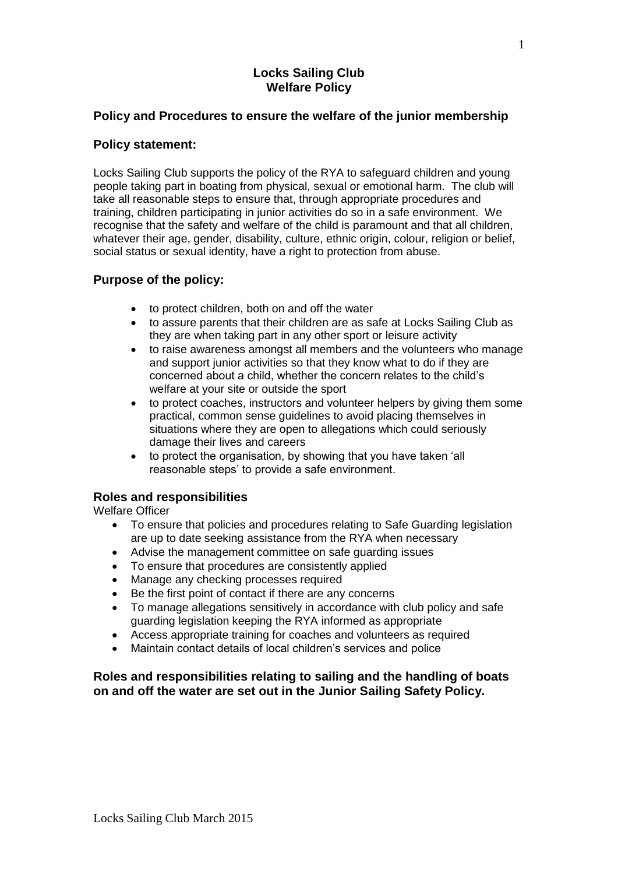## **Locks Sailing Club Welfare Policy**

## **Policy and Procedures to ensure the welfare of the junior membership**

## **Policy statement:**

Locks Sailing Club supports the policy of the RYA to safeguard children and young people taking part in boating from physical, sexual or emotional harm. The club will take all reasonable steps to ensure that, through appropriate procedures and training, children participating in junior activities do so in a safe environment. We recognise that the safety and welfare of the child is paramount and that all children, whatever their age, gender, disability, culture, ethnic origin, colour, religion or belief, social status or sexual identity, have a right to protection from abuse.

## **Purpose of the policy:**

- to protect children, both on and off the water
- to assure parents that their children are as safe at Locks Sailing Club as they are when taking part in any other sport or leisure activity
- to raise awareness amongst all members and the volunteers who manage and support junior activities so that they know what to do if they are concerned about a child, whether the concern relates to the child's welfare at your site or outside the sport
- to protect coaches, instructors and volunteer helpers by giving them some practical, common sense guidelines to avoid placing themselves in situations where they are open to allegations which could seriously damage their lives and careers
- to protect the organisation, by showing that you have taken 'all reasonable steps' to provide a safe environment.

## **Roles and responsibilities**

Welfare Officer

- To ensure that policies and procedures relating to Safe Guarding legislation are up to date seeking assistance from the RYA when necessary
- Advise the management committee on safe guarding issues
- To ensure that procedures are consistently applied
- Manage any checking processes required
- Be the first point of contact if there are any concerns
- To manage allegations sensitively in accordance with club policy and safe guarding legislation keeping the RYA informed as appropriate
- Access appropriate training for coaches and volunteers as required
- Maintain contact details of local children's services and police

## **Roles and responsibilities relating to sailing and the handling of boats on and off the water are set out in the Junior Sailing Safety Policy.**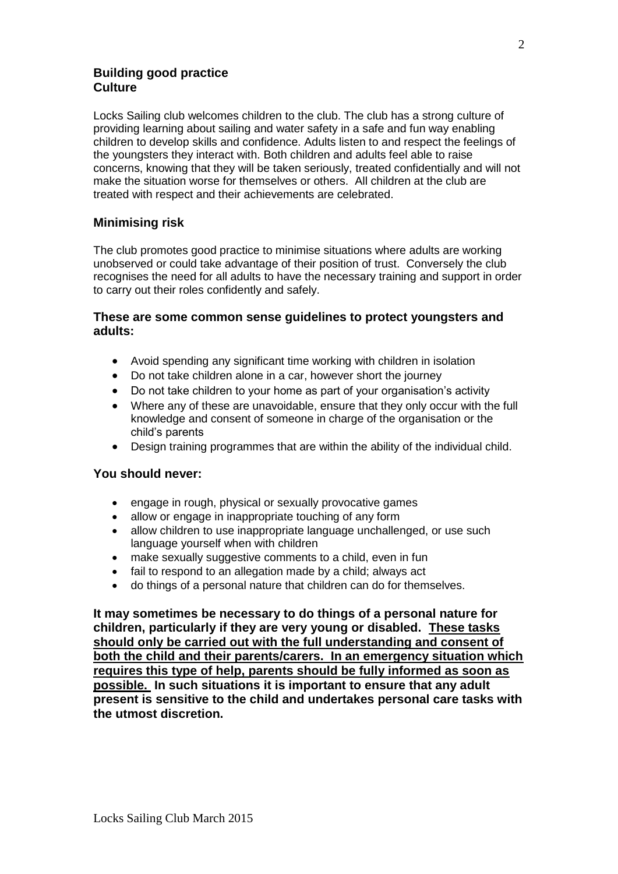## **Building good practice Culture**

Locks Sailing club welcomes children to the club. The club has a strong culture of providing learning about sailing and water safety in a safe and fun way enabling children to develop skills and confidence. Adults listen to and respect the feelings of the youngsters they interact with. Both children and adults feel able to raise concerns, knowing that they will be taken seriously, treated confidentially and will not make the situation worse for themselves or others. All children at the club are treated with respect and their achievements are celebrated.

## **Minimising risk**

The club promotes good practice to minimise situations where adults are working unobserved or could take advantage of their position of trust. Conversely the club recognises the need for all adults to have the necessary training and support in order to carry out their roles confidently and safely.

## **These are some common sense guidelines to protect youngsters and adults:**

- Avoid spending any significant time working with children in isolation
- Do not take children alone in a car, however short the journey
- Do not take children to your home as part of your organisation's activity
- Where any of these are unavoidable, ensure that they only occur with the full knowledge and consent of someone in charge of the organisation or the child's parents
- Design training programmes that are within the ability of the individual child.

## **You should never:**

- engage in rough, physical or sexually provocative games
- allow or engage in inappropriate touching of any form
- allow children to use inappropriate language unchallenged, or use such language yourself when with children
- make sexually suggestive comments to a child, even in fun
- fail to respond to an allegation made by a child; always act
- do things of a personal nature that children can do for themselves.

**It may sometimes be necessary to do things of a personal nature for children, particularly if they are very young or disabled. These tasks should only be carried out with the full understanding and consent of both the child and their parents/carers. In an emergency situation which requires this type of help, parents should be fully informed as soon as possible. In such situations it is important to ensure that any adult present is sensitive to the child and undertakes personal care tasks with the utmost discretion.**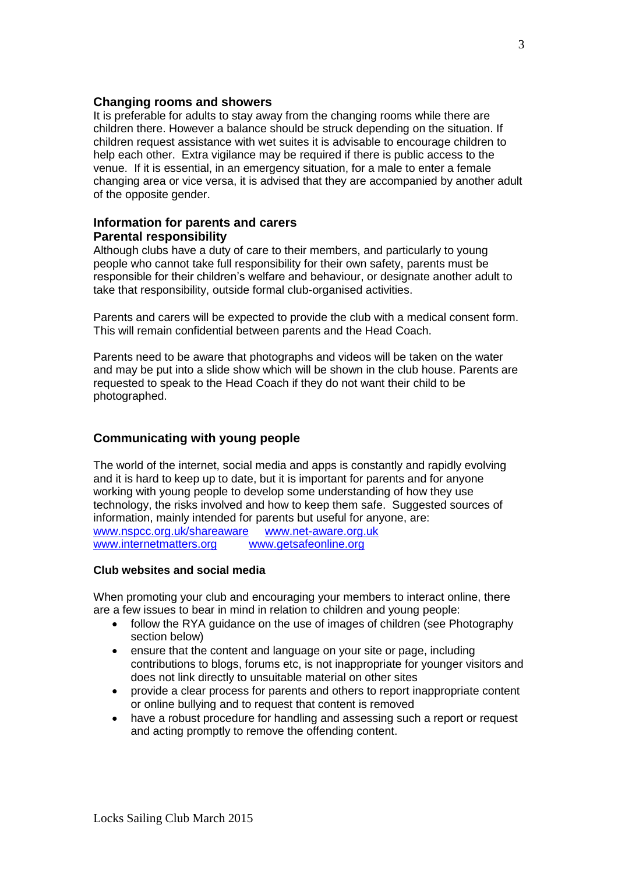#### **Changing rooms and showers**

It is preferable for adults to stay away from the changing rooms while there are children there. However a balance should be struck depending on the situation. If children request assistance with wet suites it is advisable to encourage children to help each other. Extra vigilance may be required if there is public access to the venue. If it is essential, in an emergency situation, for a male to enter a female changing area or vice versa, it is advised that they are accompanied by another adult of the opposite gender.

## **Information for parents and carers Parental responsibility**

Although clubs have a duty of care to their members, and particularly to young people who cannot take full responsibility for their own safety, parents must be responsible for their children's welfare and behaviour, or designate another adult to take that responsibility, outside formal club-organised activities.

Parents and carers will be expected to provide the club with a medical consent form. This will remain confidential between parents and the Head Coach.

Parents need to be aware that photographs and videos will be taken on the water and may be put into a slide show which will be shown in the club house. Parents are requested to speak to the Head Coach if they do not want their child to be photographed.

## **Communicating with young people**

The world of the internet, social media and apps is constantly and rapidly evolving and it is hard to keep up to date, but it is important for parents and for anyone working with young people to develop some understanding of how they use technology, the risks involved and how to keep them safe. Suggested sources of information, mainly intended for parents but useful for anyone, are: [www.nspcc.org.uk/shareaware](http://www.nspcc.org.uk/shareaware) [www.net-aware.org.uk](http://www.net-aware.org.uk/) [www.internetmatters.org](http://www.internetmatters.org/) [www.getsafeonline.org](http://www.getsafeonline.org/)

#### **Club websites and social media**

When promoting your club and encouraging your members to interact online, there are a few issues to bear in mind in relation to children and young people:

- follow the RYA guidance on the use of images of children (see Photography section below)
- ensure that the content and language on your site or page, including contributions to blogs, forums etc, is not inappropriate for younger visitors and does not link directly to unsuitable material on other sites
- provide a clear process for parents and others to report inappropriate content or online bullying and to request that content is removed
- have a robust procedure for handling and assessing such a report or request and acting promptly to remove the offending content.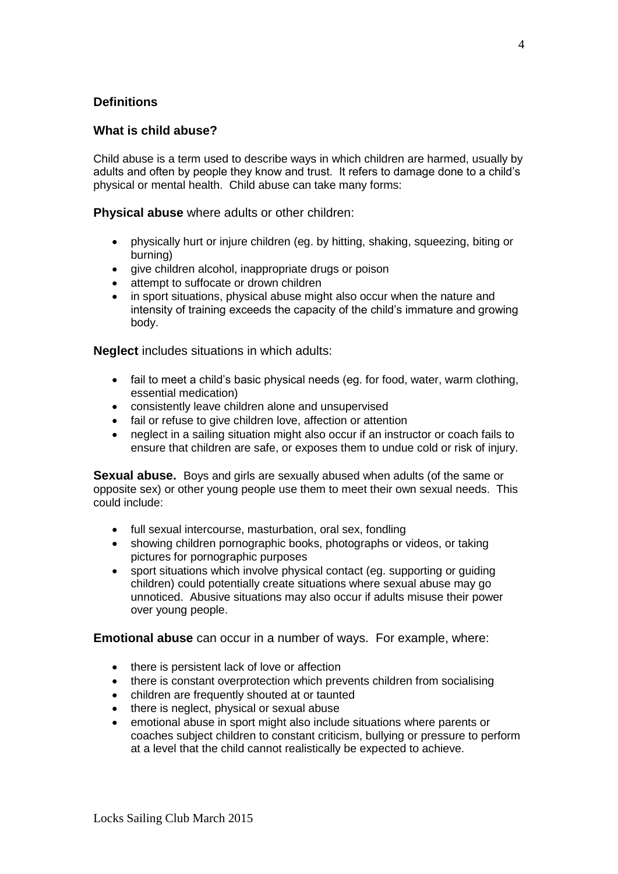## **Definitions**

## **What is child abuse?**

Child abuse is a term used to describe ways in which children are harmed, usually by adults and often by people they know and trust. It refers to damage done to a child's physical or mental health. Child abuse can take many forms:

**Physical abuse** where adults or other children:

- physically hurt or injure children (eg. by hitting, shaking, squeezing, biting or burning)
- give children alcohol, inappropriate drugs or poison
- attempt to suffocate or drown children
- in sport situations, physical abuse might also occur when the nature and intensity of training exceeds the capacity of the child's immature and growing body.

**Neglect** includes situations in which adults:

- fail to meet a child's basic physical needs (eg. for food, water, warm clothing, essential medication)
- consistently leave children alone and unsupervised
- fail or refuse to give children love, affection or attention
- neglect in a sailing situation might also occur if an instructor or coach fails to ensure that children are safe, or exposes them to undue cold or risk of injury.

**Sexual abuse.** Boys and girls are sexually abused when adults (of the same or opposite sex) or other young people use them to meet their own sexual needs. This could include:

- full sexual intercourse, masturbation, oral sex, fondling
- showing children pornographic books, photographs or videos, or taking pictures for pornographic purposes
- sport situations which involve physical contact (eg. supporting or guiding children) could potentially create situations where sexual abuse may go unnoticed. Abusive situations may also occur if adults misuse their power over young people.

**Emotional abuse** can occur in a number of ways. For example, where:

- there is persistent lack of love or affection
- there is constant overprotection which prevents children from socialising
- children are frequently shouted at or taunted
- there is neglect, physical or sexual abuse
- emotional abuse in sport might also include situations where parents or coaches subject children to constant criticism, bullying or pressure to perform at a level that the child cannot realistically be expected to achieve.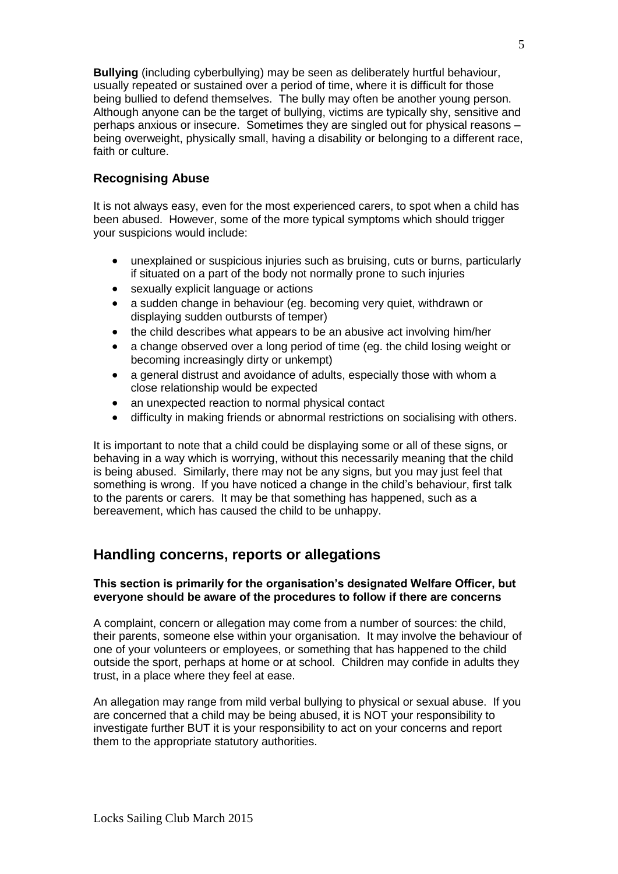**Bullying** (including cyberbullying) may be seen as deliberately hurtful behaviour, usually repeated or sustained over a period of time, where it is difficult for those being bullied to defend themselves. The bully may often be another young person. Although anyone can be the target of bullying, victims are typically shy, sensitive and perhaps anxious or insecure. Sometimes they are singled out for physical reasons – being overweight, physically small, having a disability or belonging to a different race, faith or culture.

## **Recognising Abuse**

It is not always easy, even for the most experienced carers, to spot when a child has been abused. However, some of the more typical symptoms which should trigger your suspicions would include:

- unexplained or suspicious injuries such as bruising, cuts or burns, particularly if situated on a part of the body not normally prone to such injuries
- sexually explicit language or actions
- a sudden change in behaviour (eg. becoming very quiet, withdrawn or displaying sudden outbursts of temper)
- the child describes what appears to be an abusive act involving him/her
- a change observed over a long period of time (eg. the child losing weight or becoming increasingly dirty or unkempt)
- a general distrust and avoidance of adults, especially those with whom a close relationship would be expected
- an unexpected reaction to normal physical contact
- difficulty in making friends or abnormal restrictions on socialising with others.

It is important to note that a child could be displaying some or all of these signs, or behaving in a way which is worrying, without this necessarily meaning that the child is being abused. Similarly, there may not be any signs, but you may just feel that something is wrong. If you have noticed a change in the child's behaviour, first talk to the parents or carers. It may be that something has happened, such as a bereavement, which has caused the child to be unhappy.

## **Handling concerns, reports or allegations**

#### **This section is primarily for the organisation's designated Welfare Officer, but everyone should be aware of the procedures to follow if there are concerns**

A complaint, concern or allegation may come from a number of sources: the child, their parents, someone else within your organisation. It may involve the behaviour of one of your volunteers or employees, or something that has happened to the child outside the sport, perhaps at home or at school. Children may confide in adults they trust, in a place where they feel at ease.

An allegation may range from mild verbal bullying to physical or sexual abuse. If you are concerned that a child may be being abused, it is NOT your responsibility to investigate further BUT it is your responsibility to act on your concerns and report them to the appropriate statutory authorities.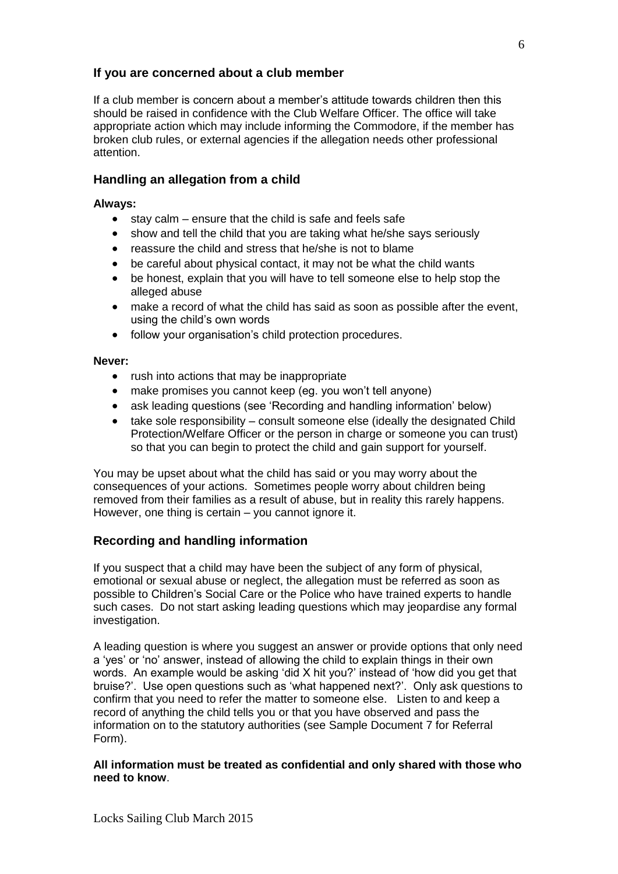## **If you are concerned about a club member**

If a club member is concern about a member's attitude towards children then this should be raised in confidence with the Club Welfare Officer. The office will take appropriate action which may include informing the Commodore, if the member has broken club rules, or external agencies if the allegation needs other professional attention.

## **Handling an allegation from a child**

#### **Always:**

- $\bullet$  stay calm ensure that the child is safe and feels safe
- show and tell the child that you are taking what he/she says seriously
- reassure the child and stress that he/she is not to blame
- be careful about physical contact, it may not be what the child wants
- be honest, explain that you will have to tell someone else to help stop the alleged abuse
- make a record of what the child has said as soon as possible after the event, using the child's own words
- follow your organisation's child protection procedures.

#### **Never:**

- rush into actions that may be inappropriate
- make promises you cannot keep (eg. you won't tell anyone)
- ask leading questions (see 'Recording and handling information' below)
- take sole responsibility consult someone else (ideally the designated Child Protection/Welfare Officer or the person in charge or someone you can trust) so that you can begin to protect the child and gain support for yourself.

You may be upset about what the child has said or you may worry about the consequences of your actions. Sometimes people worry about children being removed from their families as a result of abuse, but in reality this rarely happens. However, one thing is certain – you cannot ignore it.

## **Recording and handling information**

If you suspect that a child may have been the subject of any form of physical, emotional or sexual abuse or neglect, the allegation must be referred as soon as possible to Children's Social Care or the Police who have trained experts to handle such cases. Do not start asking leading questions which may jeopardise any formal investigation.

A leading question is where you suggest an answer or provide options that only need a 'yes' or 'no' answer, instead of allowing the child to explain things in their own words. An example would be asking 'did X hit you?' instead of 'how did you get that bruise?'. Use open questions such as 'what happened next?'. Only ask questions to confirm that you need to refer the matter to someone else. Listen to and keep a record of anything the child tells you or that you have observed and pass the information on to the statutory authorities (see Sample Document 7 for Referral Form).

#### **All information must be treated as confidential and only shared with those who need to know**.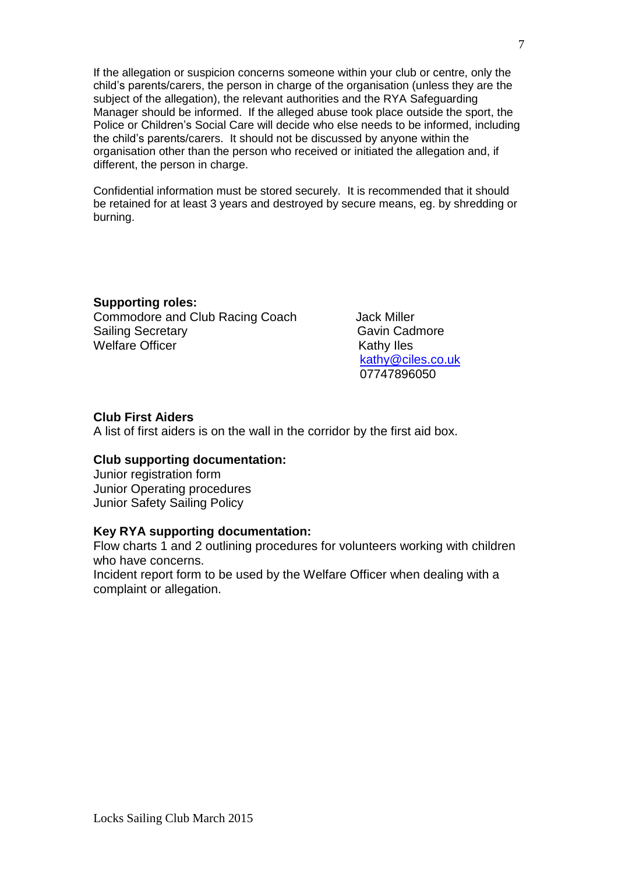If the allegation or suspicion concerns someone within your club or centre, only the child's parents/carers, the person in charge of the organisation (unless they are the subject of the allegation), the relevant authorities and the RYA Safequarding Manager should be informed. If the alleged abuse took place outside the sport, the Police or Children's Social Care will decide who else needs to be informed, including the child's parents/carers. It should not be discussed by anyone within the organisation other than the person who received or initiated the allegation and, if different, the person in charge.

Confidential information must be stored securely. It is recommended that it should be retained for at least 3 years and destroyed by secure means, eg. by shredding or burning.

## **Supporting roles:**

Commodore and Club Racing Coach Jack Miller Sailing Secretary **Gavin Cadmore Gavin Cadmore** Welfare Officer **Kathy Iles** Kathy Iles

 [kathy@ciles.co.uk](mailto:kathy@ciles.co.uk) 07747896050

## **Club First Aiders**

A list of first aiders is on the wall in the corridor by the first aid box.

#### **Club supporting documentation:**

Junior registration form Junior Operating procedures Junior Safety Sailing Policy

#### **Key RYA supporting documentation:**

Flow charts 1 and 2 outlining procedures for volunteers working with children who have concerns.

Incident report form to be used by the Welfare Officer when dealing with a complaint or allegation.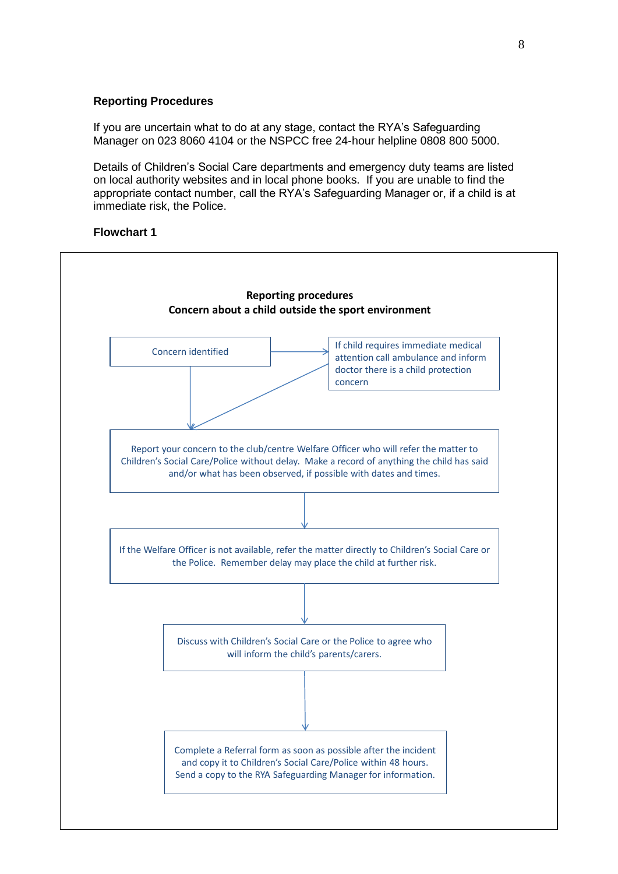#### **Reporting Procedures**

If you are uncertain what to do at any stage, contact the RYA's Safeguarding Manager on 023 8060 4104 or the NSPCC free 24-hour helpline 0808 800 5000.

Details of Children's Social Care departments and emergency duty teams are listed on local authority websites and in local phone books. If you are unable to find the appropriate contact number, call the RYA's Safeguarding Manager or, if a child is at immediate risk, the Police.

#### **Flowchart 1**

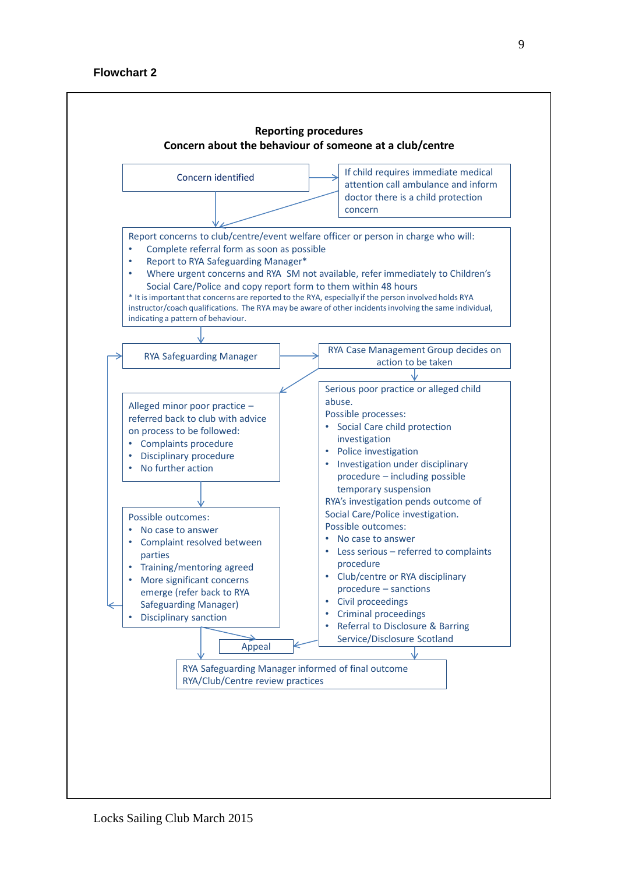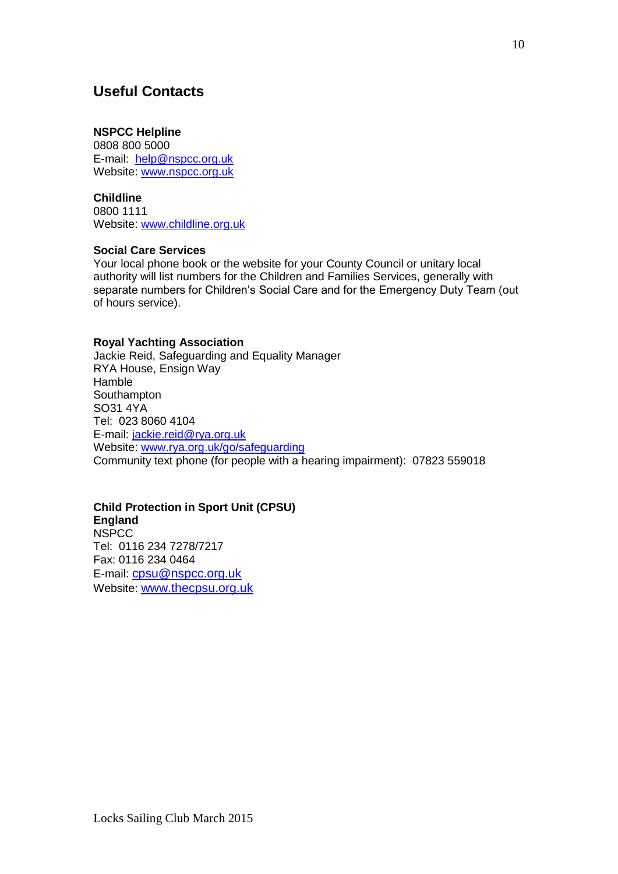# **Useful Contacts**

#### **NSPCC Helpline**

0808 800 5000 E-mail: [help@nspcc.org.uk](mailto:help@nspcc.org.uk) Website: [www.nspcc.org.uk](http://www.nspcc.org.uk/)

#### **Childline**

0800 1111 Website: [www.childline.org.uk](http://www.childline.org.uk/)

#### **Social Care Services**

Your local phone book or the website for your County Council or unitary local authority will list numbers for the Children and Families Services, generally with separate numbers for Children's Social Care and for the Emergency Duty Team (out of hours service).

#### **Royal Yachting Association**

Jackie Reid, Safeguarding and Equality Manager RYA House, Ensign Way Hamble Southampton SO31 4YA Tel: 023 8060 4104 E-mail: [jackie.reid@rya.org.uk](mailto:jackie.reid@rya.org.uk) Website: [www.rya.org.uk/go/safeguarding](http://www.rya.org.uk/go/childprotection) Community text phone (for people with a hearing impairment): 07823 559018

## **Child Protection in Sport Unit (CPSU)**

**England NSPCC** Tel: 0116 234 7278/7217 Fax: 0116 234 0464 E-mail: [cpsu@nspcc.org.uk](mailto:cpsu@nspcc.org.uk) Website: [www.thecpsu.org.uk](http://www.thecpsu.org.uk/)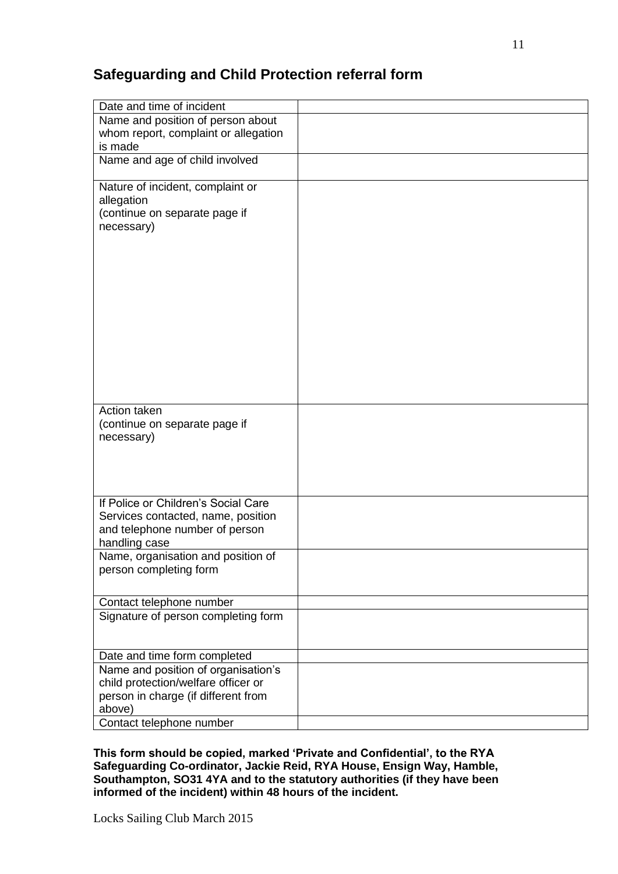# **Safeguarding and Child Protection referral form**

| Date and time of incident            |  |
|--------------------------------------|--|
| Name and position of person about    |  |
| whom report, complaint or allegation |  |
| is made                              |  |
| Name and age of child involved       |  |
| Nature of incident, complaint or     |  |
| allegation                           |  |
| (continue on separate page if        |  |
| necessary)                           |  |
|                                      |  |
|                                      |  |
|                                      |  |
|                                      |  |
|                                      |  |
|                                      |  |
|                                      |  |
|                                      |  |
|                                      |  |
|                                      |  |
|                                      |  |
| Action taken                         |  |
| (continue on separate page if        |  |
| necessary)                           |  |
|                                      |  |
|                                      |  |
|                                      |  |
| If Police or Children's Social Care  |  |
| Services contacted, name, position   |  |
| and telephone number of person       |  |
| handling case                        |  |
| Name, organisation and position of   |  |
| person completing form               |  |
|                                      |  |
| Contact telephone number             |  |
| Signature of person completing form  |  |
|                                      |  |
|                                      |  |
| Date and time form completed         |  |
| Name and position of organisation's  |  |
| child protection/welfare officer or  |  |
| person in charge (if different from  |  |
| above)                               |  |
| Contact telephone number             |  |

**This form should be copied, marked 'Private and Confidential', to the RYA Safeguarding Co-ordinator, Jackie Reid, RYA House, Ensign Way, Hamble, Southampton, SO31 4YA and to the statutory authorities (if they have been informed of the incident) within 48 hours of the incident.**